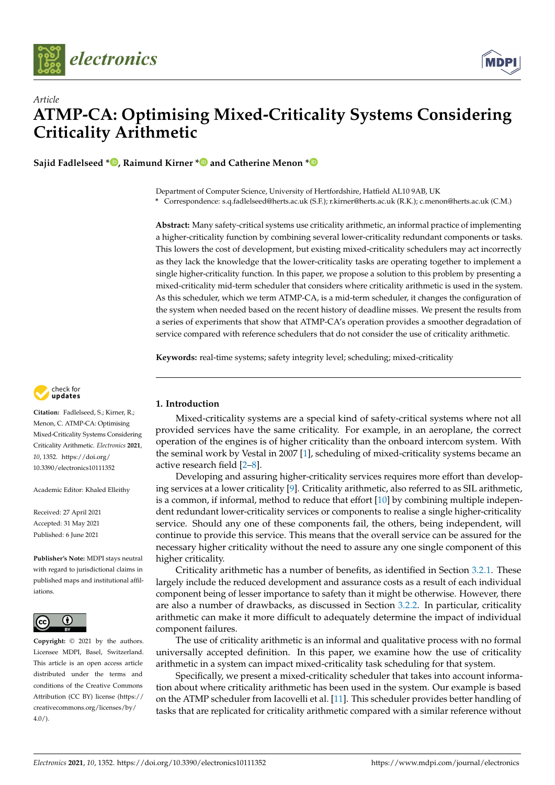



# *Article* **ATMP-CA: Optimising Mixed-Criticality Systems Considering Criticality Arithmetic**

**Sajid Fadlelseed \* [,](https://orcid.org/0000-0003-4856-4705) Raimund Kirner [\\*](https://orcid.org/0000-0003-3921-6813) and Catherine Menon [\\*](https://orcid.org/0000-0003-2072-5845)**

Department of Computer Science, University of Hertfordshire, Hatfield AL10 9AB, UK

**\*** Correspondence: s.q.fadlelseed@herts.ac.uk (S.F.); r.kirner@herts.ac.uk (R.K.); c.menon@herts.ac.uk (C.M.)

**Abstract:** Many safety-critical systems use criticality arithmetic, an informal practice of implementing a higher-criticality function by combining several lower-criticality redundant components or tasks. This lowers the cost of development, but existing mixed-criticality schedulers may act incorrectly as they lack the knowledge that the lower-criticality tasks are operating together to implement a single higher-criticality function. In this paper, we propose a solution to this problem by presenting a mixed-criticality mid-term scheduler that considers where criticality arithmetic is used in the system. As this scheduler, which we term ATMP-CA, is a mid-term scheduler, it changes the configuration of the system when needed based on the recent history of deadline misses. We present the results from a series of experiments that show that ATMP-CA's operation provides a smoother degradation of service compared with reference schedulers that do not consider the use of criticality arithmetic.

**Keywords:** real-time systems; safety integrity level; scheduling; mixed-criticality



**Citation:** Fadlelseed, S.; Kirner, R.; Menon, C. ATMP-CA: Optimising Mixed-Criticality Systems Considering Criticality Arithmetic. *Electronics* **2021**, *10*, 1352. [https://doi.org/](https://doi.org/10.3390/electronics10111352) [10.3390/electronics10111352](https://doi.org/10.3390/electronics10111352)

Academic Editor: Khaled Elleithy

Received: 27 April 2021 Accepted: 31 May 2021 Published: 6 June 2021

**Publisher's Note:** MDPI stays neutral with regard to jurisdictional claims in published maps and institutional affiliations.



**Copyright:** © 2021 by the authors. Licensee MDPI, Basel, Switzerland. This article is an open access article distributed under the terms and conditions of the Creative Commons Attribution (CC BY) license (https:/[/](https://creativecommons.org/licenses/by/4.0/) [creativecommons.org/licenses/by/](https://creativecommons.org/licenses/by/4.0/)  $4.0/$ ).

# **1. Introduction**

Mixed-criticality systems are a special kind of safety-critical systems where not all provided services have the same criticality. For example, in an aeroplane, the correct operation of the engines is of higher criticality than the onboard intercom system. With the seminal work by Vestal in 2007 [\[1\]](#page-12-0), scheduling of mixed-criticality systems became an active research field [\[2](#page-12-1)[–8\]](#page-12-2).

Developing and assuring higher-criticality services requires more effort than develop-ing services at a lower criticality [\[9\]](#page-12-3). Criticality arithmetic, also referred to as SIL arithmetic, is a common, if informal, method to reduce that effort [\[10\]](#page-12-4) by combining multiple independent redundant lower-criticality services or components to realise a single higher-criticality service. Should any one of these components fail, the others, being independent, will continue to provide this service. This means that the overall service can be assured for the necessary higher criticality without the need to assure any one single component of this higher criticality.

Criticality arithmetic has a number of benefits, as identified in Section [3.2.1.](#page-3-0) These largely include the reduced development and assurance costs as a result of each individual component being of lesser importance to safety than it might be otherwise. However, there are also a number of drawbacks, as discussed in Section [3.2.2.](#page-3-1) In particular, criticality arithmetic can make it more difficult to adequately determine the impact of individual component failures.

The use of criticality arithmetic is an informal and qualitative process with no formal universally accepted definition. In this paper, we examine how the use of criticality arithmetic in a system can impact mixed-criticality task scheduling for that system.

Specifically, we present a mixed-criticality scheduler that takes into account information about where criticality arithmetic has been used in the system. Our example is based on the ATMP scheduler from Iacovelli et al. [\[11\]](#page-13-0). This scheduler provides better handling of tasks that are replicated for criticality arithmetic compared with a similar reference without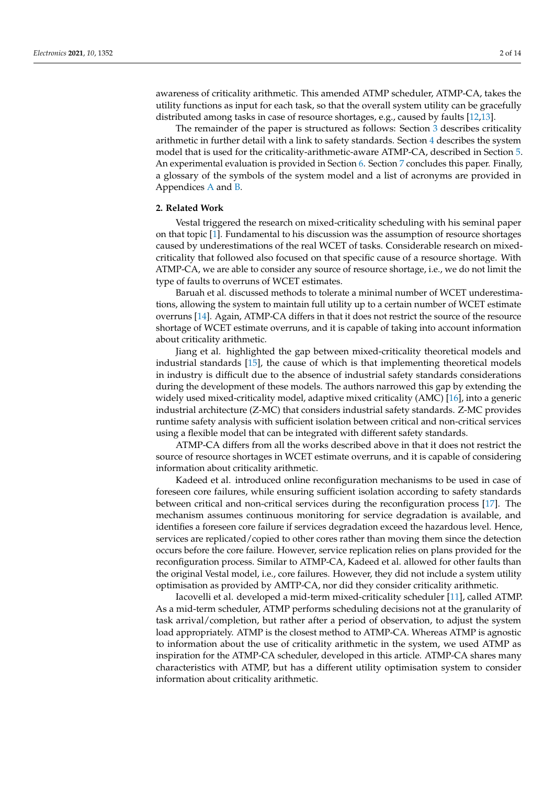awareness of criticality arithmetic. This amended ATMP scheduler, ATMP-CA, takes the utility functions as input for each task, so that the overall system utility can be gracefully distributed among tasks in case of resource shortages, e.g., caused by faults [\[12](#page-13-1)[,13\]](#page-13-2).

The remainder of the paper is structured as follows: Section [3](#page-2-0) describes criticality arithmetic in further detail with a link to safety standards. Section [4](#page-4-0) describes the system model that is used for the criticality-arithmetic-aware ATMP-CA, described in Section [5.](#page-6-0) An experimental evaluation is provided in Section [6.](#page-8-0) Section [7](#page-11-0) concludes this paper. Finally, a glossary of the symbols of the system model and a list of acronyms are provided in Appendices [A](#page-12-5) and [B.](#page-12-6)

## **2. Related Work**

Vestal triggered the research on mixed-criticality scheduling with his seminal paper on that topic [\[1\]](#page-12-0). Fundamental to his discussion was the assumption of resource shortages caused by underestimations of the real WCET of tasks. Considerable research on mixedcriticality that followed also focused on that specific cause of a resource shortage. With ATMP-CA, we are able to consider any source of resource shortage, i.e., we do not limit the type of faults to overruns of WCET estimates.

Baruah et al. discussed methods to tolerate a minimal number of WCET underestimations, allowing the system to maintain full utility up to a certain number of WCET estimate overruns [\[14\]](#page-13-3). Again, ATMP-CA differs in that it does not restrict the source of the resource shortage of WCET estimate overruns, and it is capable of taking into account information about criticality arithmetic.

Jiang et al. highlighted the gap between mixed-criticality theoretical models and industrial standards [\[15\]](#page-13-4), the cause of which is that implementing theoretical models in industry is difficult due to the absence of industrial safety standards considerations during the development of these models. The authors narrowed this gap by extending the widely used mixed-criticality model, adaptive mixed criticality (AMC) [\[16\]](#page-13-5), into a generic industrial architecture (Z-MC) that considers industrial safety standards. Z-MC provides runtime safety analysis with sufficient isolation between critical and non-critical services using a flexible model that can be integrated with different safety standards.

ATMP-CA differs from all the works described above in that it does not restrict the source of resource shortages in WCET estimate overruns, and it is capable of considering information about criticality arithmetic.

Kadeed et al. introduced online reconfiguration mechanisms to be used in case of foreseen core failures, while ensuring sufficient isolation according to safety standards between critical and non-critical services during the reconfiguration process [\[17\]](#page-13-6). The mechanism assumes continuous monitoring for service degradation is available, and identifies a foreseen core failure if services degradation exceed the hazardous level. Hence, services are replicated/copied to other cores rather than moving them since the detection occurs before the core failure. However, service replication relies on plans provided for the reconfiguration process. Similar to ATMP-CA, Kadeed et al. allowed for other faults than the original Vestal model, i.e., core failures. However, they did not include a system utility optimisation as provided by AMTP-CA, nor did they consider criticality arithmetic.

Iacovelli et al. developed a mid-term mixed-criticality scheduler [\[11\]](#page-13-0), called ATMP. As a mid-term scheduler, ATMP performs scheduling decisions not at the granularity of task arrival/completion, but rather after a period of observation, to adjust the system load appropriately. ATMP is the closest method to ATMP-CA. Whereas ATMP is agnostic to information about the use of criticality arithmetic in the system, we used ATMP as inspiration for the ATMP-CA scheduler, developed in this article. ATMP-CA shares many characteristics with ATMP, but has a different utility optimisation system to consider information about criticality arithmetic.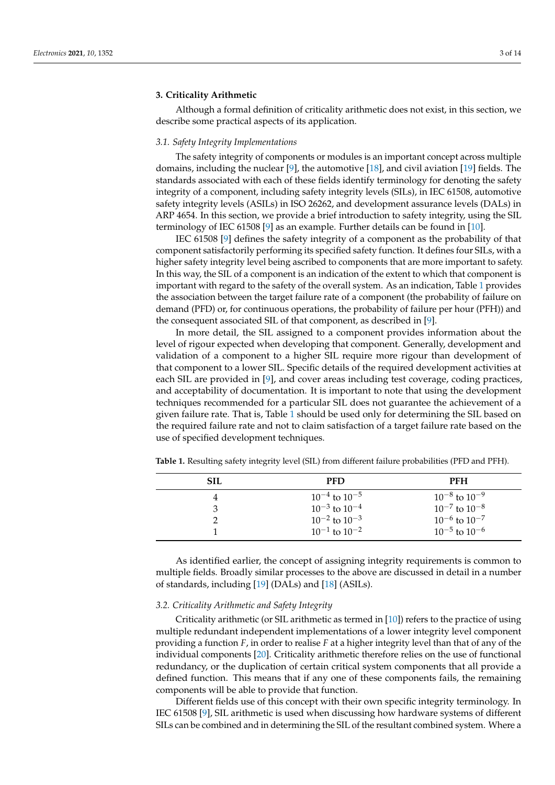## <span id="page-2-0"></span>**3. Criticality Arithmetic**

Although a formal definition of criticality arithmetic does not exist, in this section, we describe some practical aspects of its application.

#### <span id="page-2-2"></span>*3.1. Safety Integrity Implementations*

The safety integrity of components or modules is an important concept across multiple domains, including the nuclear [\[9\]](#page-12-3), the automotive [\[18\]](#page-13-7), and civil aviation [\[19\]](#page-13-8) fields. The standards associated with each of these fields identify terminology for denoting the safety integrity of a component, including safety integrity levels (SILs), in IEC 61508, automotive safety integrity levels (ASILs) in ISO 26262, and development assurance levels (DALs) in ARP 4654. In this section, we provide a brief introduction to safety integrity, using the SIL terminology of IEC 61508 [\[9\]](#page-12-3) as an example. Further details can be found in [\[10\]](#page-12-4).

IEC 61508 [\[9\]](#page-12-3) defines the safety integrity of a component as the probability of that component satisfactorily performing its specified safety function. It defines four SILs, with a higher safety integrity level being ascribed to components that are more important to safety. In this way, the SIL of a component is an indication of the extent to which that component is important with regard to the safety of the overall system. As an indication, Table [1](#page-2-1) provides the association between the target failure rate of a component (the probability of failure on demand (PFD) or, for continuous operations, the probability of failure per hour (PFH)) and the consequent associated SIL of that component, as described in [\[9\]](#page-12-3).

In more detail, the SIL assigned to a component provides information about the level of rigour expected when developing that component. Generally, development and validation of a component to a higher SIL require more rigour than development of that component to a lower SIL. Specific details of the required development activities at each SIL are provided in [\[9\]](#page-12-3), and cover areas including test coverage, coding practices, and acceptability of documentation. It is important to note that using the development techniques recommended for a particular SIL does not guarantee the achievement of a given failure rate. That is, Table [1](#page-2-1) should be used only for determining the SIL based on the required failure rate and not to claim satisfaction of a target failure rate based on the use of specified development techniques.

| SH. | <b>PFD</b>             | PFH                    |
|-----|------------------------|------------------------|
| 4   | $10^{-4}$ to $10^{-5}$ | $10^{-8}$ to $10^{-9}$ |
| З   | $10^{-3}$ to $10^{-4}$ | $10^{-7}$ to $10^{-8}$ |
|     | $10^{-2}$ to $10^{-3}$ | $10^{-6}$ to $10^{-7}$ |
|     | $10^{-1}$ to $10^{-2}$ | $10^{-5}$ to $10^{-6}$ |

<span id="page-2-1"></span>**Table 1.** Resulting safety integrity level (SIL) from different failure probabilities (PFD and PFH).

As identified earlier, the concept of assigning integrity requirements is common to multiple fields. Broadly similar processes to the above are discussed in detail in a number of standards, including [\[19\]](#page-13-8) (DALs) and [\[18\]](#page-13-7) (ASILs).

# *3.2. Criticality Arithmetic and Safety Integrity*

Criticality arithmetic (or SIL arithmetic as termed in [\[10\]](#page-12-4)) refers to the practice of using multiple redundant independent implementations of a lower integrity level component providing a function *F*, in order to realise *F* at a higher integrity level than that of any of the individual components [\[20\]](#page-13-9). Criticality arithmetic therefore relies on the use of functional redundancy, or the duplication of certain critical system components that all provide a defined function. This means that if any one of these components fails, the remaining components will be able to provide that function.

Different fields use of this concept with their own specific integrity terminology. In IEC 61508 [\[9\]](#page-12-3), SIL arithmetic is used when discussing how hardware systems of different SILs can be combined and in determining the SIL of the resultant combined system. Where a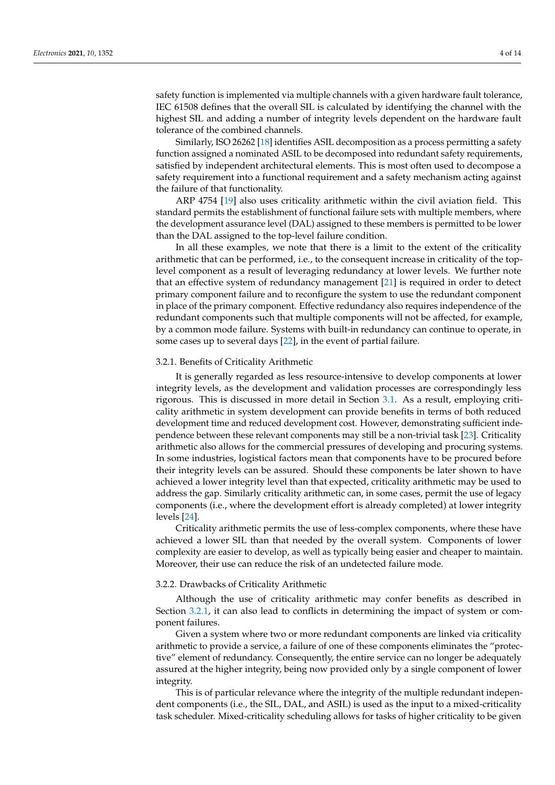safety function is implemented via multiple channels with a given hardware fault tolerance, IEC 61508 defines that the overall SIL is calculated by identifying the channel with the highest SIL and adding a number of integrity levels dependent on the hardware fault tolerance of the combined channels.

Similarly, ISO 26262 [\[18\]](#page-13-7) identifies ASIL decomposition as a process permitting a safety function assigned a nominated ASIL to be decomposed into redundant safety requirements, satisfied by independent architectural elements. This is most often used to decompose a safety requirement into a functional requirement and a safety mechanism acting against the failure of that functionality.

ARP 4754 [\[19\]](#page-13-8) also uses criticality arithmetic within the civil aviation field. This standard permits the establishment of functional failure sets with multiple members, where the development assurance level (DAL) assigned to these members is permitted to be lower than the DAL assigned to the top-level failure condition.

In all these examples, we note that there is a limit to the extent of the criticality arithmetic that can be performed, i.e., to the consequent increase in criticality of the toplevel component as a result of leveraging redundancy at lower levels. We further note that an effective system of redundancy management [\[21\]](#page-13-10) is required in order to detect primary component failure and to reconfigure the system to use the redundant component in place of the primary component. Effective redundancy also requires independence of the redundant components such that multiple components will not be affected, for example, by a common mode failure. Systems with built-in redundancy can continue to operate, in some cases up to several days [\[22\]](#page-13-11), in the event of partial failure.

## <span id="page-3-0"></span>3.2.1. Benefits of Criticality Arithmetic

It is generally regarded as less resource-intensive to develop components at lower integrity levels, as the development and validation processes are correspondingly less rigorous. This is discussed in more detail in Section [3.1.](#page-2-2) As a result, employing criticality arithmetic in system development can provide benefits in terms of both reduced development time and reduced development cost. However, demonstrating sufficient independence between these relevant components may still be a non-trivial task [\[23\]](#page-13-12). Criticality arithmetic also allows for the commercial pressures of developing and procuring systems. In some industries, logistical factors mean that components have to be procured before their integrity levels can be assured. Should these components be later shown to have achieved a lower integrity level than that expected, criticality arithmetic may be used to address the gap. Similarly criticality arithmetic can, in some cases, permit the use of legacy components (i.e., where the development effort is already completed) at lower integrity levels [\[24\]](#page-13-13).

Criticality arithmetic permits the use of less-complex components, where these have achieved a lower SIL than that needed by the overall system. Components of lower complexity are easier to develop, as well as typically being easier and cheaper to maintain. Moreover, their use can reduce the risk of an undetected failure mode.

#### <span id="page-3-1"></span>3.2.2. Drawbacks of Criticality Arithmetic

Although the use of criticality arithmetic may confer benefits as described in Section [3.2.1,](#page-3-0) it can also lead to conflicts in determining the impact of system or component failures.

Given a system where two or more redundant components are linked via criticality arithmetic to provide a service, a failure of one of these components eliminates the "protective" element of redundancy. Consequently, the entire service can no longer be adequately assured at the higher integrity, being now provided only by a single component of lower integrity.

This is of particular relevance where the integrity of the multiple redundant independent components (i.e., the SIL, DAL, and ASIL) is used as the input to a mixed-criticality task scheduler. Mixed-criticality scheduling allows for tasks of higher criticality to be given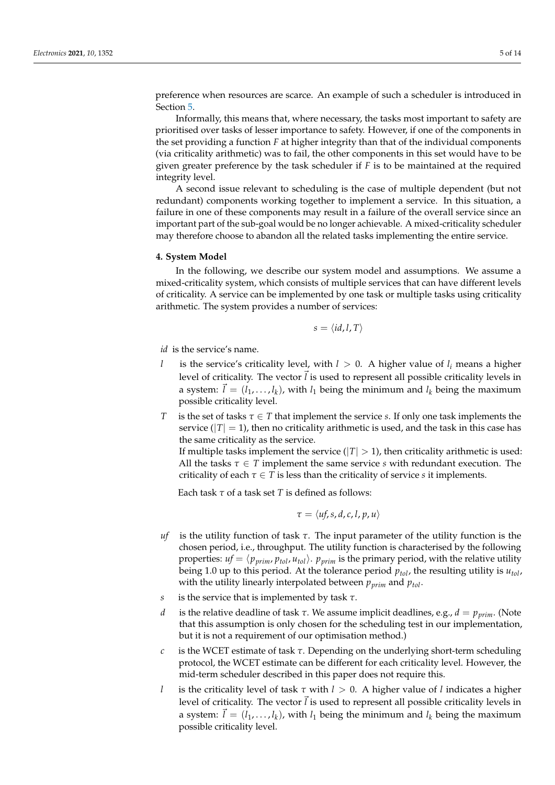preference when resources are scarce. An example of such a scheduler is introduced in Section [5.](#page-6-0)

Informally, this means that, where necessary, the tasks most important to safety are prioritised over tasks of lesser importance to safety. However, if one of the components in the set providing a function *F* at higher integrity than that of the individual components (via criticality arithmetic) was to fail, the other components in this set would have to be given greater preference by the task scheduler if *F* is to be maintained at the required integrity level.

A second issue relevant to scheduling is the case of multiple dependent (but not redundant) components working together to implement a service. In this situation, a failure in one of these components may result in a failure of the overall service since an important part of the sub-goal would be no longer achievable. A mixed-criticality scheduler may therefore choose to abandon all the related tasks implementing the entire service.

#### <span id="page-4-0"></span>**4. System Model**

In the following, we describe our system model and assumptions. We assume a mixed-criticality system, which consists of multiple services that can have different levels of criticality. A service can be implemented by one task or multiple tasks using criticality arithmetic. The system provides a number of services:

$$
s = \langle id, l, T \rangle
$$

*id* is the service's name.

- *l* is the service's criticality level, with  $l > 0$ . A higher value of  $l_i$  means a higher level of criticality. The vector  $\vec{l}$  is used to represent all possible criticality levels in a system:  $\vec{l} = (l_1, \ldots, l_k)$ , with  $l_1$  being the minimum and  $l_k$  being the maximum possible criticality level.
- *T* is the set of tasks *τ* ∈ *T* that implement the service *s*. If only one task implements the service  $(|T| = 1)$ , then no criticality arithmetic is used, and the task in this case has the same criticality as the service.

If multiple tasks implement the service  $(|T| > 1)$ , then criticality arithmetic is used: All the tasks  $\tau \in T$  implement the same service *s* with redundant execution. The criticality of each  $\tau \in T$  is less than the criticality of service *s* it implements.

Each task *τ* of a task set *T* is defined as follows:

$$
\tau = \langle uf, s, d, c, l, p, u \rangle
$$

- *uf* is the utility function of task *τ*. The input parameter of the utility function is the chosen period, i.e., throughput. The utility function is characterised by the following properties:  $uf = \langle p_{prim}, p_{tol}, u_{tol} \rangle$ .  $p_{prim}$  is the primary period, with the relative utility being 1.0 up to this period. At the tolerance period *ptol*, the resulting utility is *utol*, with the utility linearly interpolated between *pprim* and *ptol*.
- *s* is the service that is implemented by task *τ*.
- *d* is the relative deadline of task *τ*. We assume implicit deadlines, e.g., *d* = *pprim*. (Note that this assumption is only chosen for the scheduling test in our implementation, but it is not a requirement of our optimisation method.)
- *c* is the WCET estimate of task *τ*. Depending on the underlying short-term scheduling protocol, the WCET estimate can be different for each criticality level. However, the mid-term scheduler described in this paper does not require this.
- *l* is the criticality level of task *τ* with *l* > 0. A higher value of *l* indicates a higher level of criticality. The vector  $\vec{l}$  is used to represent all possible criticality levels in a system:  $\vec{l} = (l_1, \ldots, l_k)$ , with  $l_1$  being the minimum and  $l_k$  being the maximum possible criticality level.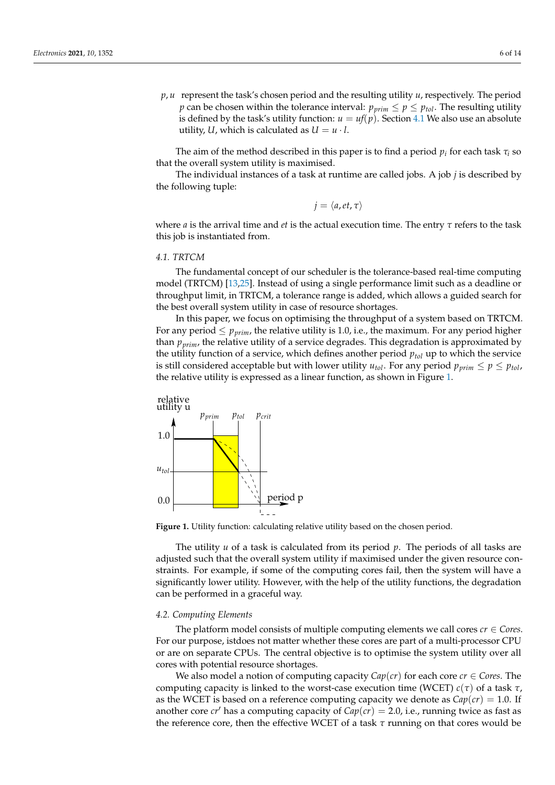*p*, *u* represent the task's chosen period and the resulting utility *u*, respectively. The period *p* can be chosen within the tolerance interval:  $p_{\text{prim}} \le p \le p_{\text{tol}}$ . The resulting utility is defined by the task's utility function:  $u = uf(p)$ . Section [4.1](#page-5-0) We also use an absolute utility, *U*, which is calculated as  $U = u \cdot l$ .

The aim of the method described in this paper is to find a period  $p_i$  for each task  $\tau_i$  so that the overall system utility is maximised.

The individual instances of a task at runtime are called jobs. A job *j* is described by the following tuple:

$$
j=\langle a,et,\tau\rangle
$$

where *a* is the arrival time and *et* is the actual execution time. The entry *τ* refers to the task this job is instantiated from.

# <span id="page-5-0"></span>*4.1. TRTCM*

The fundamental concept of our scheduler is the tolerance-based real-time computing model (TRTCM) [\[13,](#page-13-2)[25\]](#page-13-14). Instead of using a single performance limit such as a deadline or throughput limit, in TRTCM, a tolerance range is added, which allows a guided search for the best overall system utility in case of resource shortages.

In this paper, we focus on optimising the throughput of a system based on TRTCM. For any period  $\leq p_{\text{prim}}$ , the relative utility is 1.0, i.e., the maximum. For any period higher than *pprim*, the relative utility of a service degrades. This degradation is approximated by the utility function of a service, which defines another period  $p_{tol}$  up to which the service is still considered acceptable but with lower utility  $u_{tol}$ . For any period  $p_{prim} \leq p \leq p_{tol}$ , the relative utility is expressed as a linear function, as shown in Figure [1.](#page-5-1)

<span id="page-5-1"></span>

**Figure 1.** Utility function: calculating relative utility based on the chosen period.

The utility *u* of a task is calculated from its period *p*. The periods of all tasks are adjusted such that the overall system utility if maximised under the given resource constraints. For example, if some of the computing cores fail, then the system will have a significantly lower utility. However, with the help of the utility functions, the degradation can be performed in a graceful way.

#### *4.2. Computing Elements*

The platform model consists of multiple computing elements we call cores  $cr \in \mathbb{C}$ *ores*. For our purpose, istdoes not matter whether these cores are part of a multi-processor CPU or are on separate CPUs. The central objective is to optimise the system utility over all cores with potential resource shortages.

We also model a notion of computing capacity  $Cap(cr)$  for each core  $cr \in Cores$ . The computing capacity is linked to the worst-case execution time (WCET) *c*(*τ*) of a task *τ*, as the WCET is based on a reference computing capacity we denote as  $Cap(cr) = 1.0$ . If another core *cr'* has a computing capacity of  $Cap(cr) = 2.0$ , i.e., running twice as fast as the reference core, then the effective WCET of a task *τ* running on that cores would be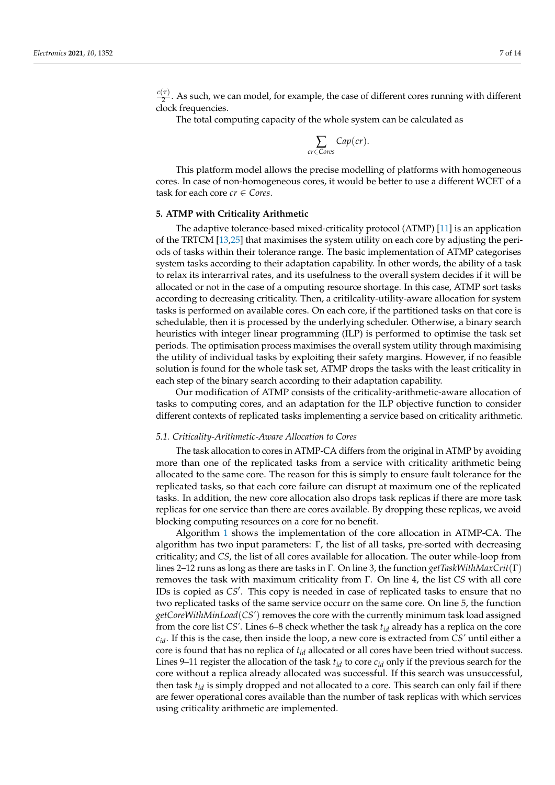$\frac{c(\tau)}{2}$ . As such, we can model, for example, the case of different cores running with different clock frequencies.

The total computing capacity of the whole system can be calculated as

$$
\sum_{cr \in \text{Cores}} Cap (cr).
$$

This platform model allows the precise modelling of platforms with homogeneous cores. In case of non-homogeneous cores, it would be better to use a different WCET of a task for each core *cr* ∈ *Cores*.

# <span id="page-6-0"></span>**5. ATMP with Criticality Arithmetic**

The adaptive tolerance-based mixed-criticality protocol (ATMP) [\[11\]](#page-13-0) is an application of the TRTCM [\[13,](#page-13-2)[25\]](#page-13-14) that maximises the system utility on each core by adjusting the periods of tasks within their tolerance range. The basic implementation of ATMP categorises system tasks according to their adaptation capability. In other words, the ability of a task to relax its interarrival rates, and its usefulness to the overall system decides if it will be allocated or not in the case of a omputing resource shortage. In this case, ATMP sort tasks according to decreasing criticality. Then, a critilcality-utility-aware allocation for system tasks is performed on available cores. On each core, if the partitioned tasks on that core is schedulable, then it is processed by the underlying scheduler. Otherwise, a binary search heuristics with integer linear programming (ILP) is performed to optimise the task set periods. The optimisation process maximises the overall system utility through maximising the utility of individual tasks by exploiting their safety margins. However, if no feasible solution is found for the whole task set, ATMP drops the tasks with the least criticality in each step of the binary search according to their adaptation capability.

Our modification of ATMP consists of the criticality-arithmetic-aware allocation of tasks to computing cores, and an adaptation for the ILP objective function to consider different contexts of replicated tasks implementing a service based on criticality arithmetic.

### *5.1. Criticality-Arithmetic-Aware Allocation to Cores*

The task allocation to cores in ATMP-CA differs from the original in ATMP by avoiding more than one of the replicated tasks from a service with criticality arithmetic being allocated to the same core. The reason for this is simply to ensure fault tolerance for the replicated tasks, so that each core failure can disrupt at maximum one of the replicated tasks. In addition, the new core allocation also drops task replicas if there are more task replicas for one service than there are cores available. By dropping these replicas, we avoid blocking computing resources on a core for no benefit.

Algorithm [1](#page-7-0) shows the implementation of the core allocation in ATMP-CA. The algorithm has two input parameters: Γ, the list of all tasks, pre-sorted with decreasing criticality; and *CS*, the list of all cores available for allocation. The outer while-loop from lines 2–12 runs as long as there are tasks in Γ. On line 3, the function *getTaskWithMaxCrit*(Γ) removes the task with maximum criticality from Γ. On line 4, the list *CS* with all core IDs is copied as CS<sup>'</sup>. This copy is needed in case of replicated tasks to ensure that no two replicated tasks of the same service occurr on the same core. On line 5, the function *getCoreWithMinLoad*(*CS'*) removes the core with the currently minimum task load assigned from the core list *CS'*. Lines 6–8 check whether the task *tid* already has a replica on the core *cid*. If this is the case, then inside the loop, a new core is extracted from *CS'* until either a core is found that has no replica of *tid* allocated or all cores have been tried without success. Lines 9–11 register the allocation of the task  $t_{id}$  to core  $c_{id}$  only if the previous search for the core without a replica already allocated was successful. If this search was unsuccessful, then task *tid* is simply dropped and not allocated to a core. This search can only fail if there are fewer operational cores available than the number of task replicas with which services using criticality arithmetic are implemented.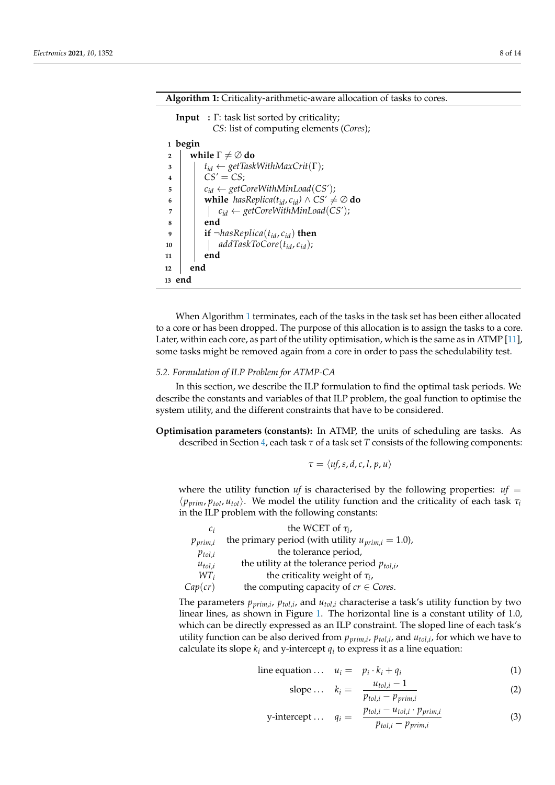<span id="page-7-0"></span>

| <b>Algorithm 1:</b> Criticality-arithmetic-aware allocation of tasks to cores.                        |
|-------------------------------------------------------------------------------------------------------|
| <b>Input</b> : $\Gamma$ : task list sorted by criticality;<br>CS: list of computing elements (Cores); |
| 1 begin                                                                                               |
| while $\Gamma \neq \emptyset$ do<br>$\overline{2}$                                                    |
| $t_{id} \leftarrow getTaskWithMaxCrit(\Gamma);$<br>3                                                  |
| $CS' = CS$<br>4                                                                                       |
| $c_{id} \leftarrow getCoreWithMinLoad(CS');$<br>5                                                     |
| while hasReplica( $t_{id}$ , $c_{id}$ ) $\wedge$ CS' $\neq \emptyset$ do<br>6                         |
| $c_{id} \leftarrow getCoreWithMinLoad(CS');$<br>7                                                     |
| end<br>8                                                                                              |
| <b>if</b> $\neg hasReplica(t_{id}, c_{id})$ then<br>9                                                 |
| $addTaskToCore(t_{id}, c_{id});$<br>10                                                                |
| end<br>11                                                                                             |
| end<br>12                                                                                             |
| 13 end                                                                                                |

When Algorithm [1](#page-7-0) terminates, each of the tasks in the task set has been either allocated to a core or has been dropped. The purpose of this allocation is to assign the tasks to a core. Later, within each core, as part of the utility optimisation, which is the same as in ATMP [\[11\]](#page-13-0), some tasks might be removed again from a core in order to pass the schedulability test.

# <span id="page-7-1"></span>*5.2. Formulation of ILP Problem for ATMP-CA*

In this section, we describe the ILP formulation to find the optimal task periods. We describe the constants and variables of that ILP problem, the goal function to optimise the system utility, and the different constraints that have to be considered.

**Optimisation parameters (constants):** In ATMP, the units of scheduling are tasks. As described in Section [4,](#page-4-0) each task *τ* of a task set *T* consists of the following components:

$$
\tau = \langle uf, s, d, c, l, p, u \rangle
$$

where the utility function *uf* is characterised by the following properties:  $uf =$  $\langle p_{\textit{prim}}, p_{\textit{tol}}, u_{\textit{tol}} \rangle$ . We model the utility function and the criticality of each task  $\tau_i$ in the ILP problem with the following constants:

| $c_i$                 | the WCET of $\tau_i$ ,                                 |
|-----------------------|--------------------------------------------------------|
| $p_{\textit{prim},i}$ | the primary period (with utility $u_{prim,i} = 1.0$ ), |
| $p_{tol,i}$           | the tolerance period,                                  |
| $u_{tol,i}$           | the utility at the tolerance period $p_{tol,i}$ ,      |
| $WT_i$                | the criticality weight of $\tau_i$ ,                   |
| Cap(cr)               | the computing capacity of $cr \in Cores$ .             |

The parameters  $p_{prim,i}$ ,  $p_{tol,i}$ , and  $u_{tol,i}$  characterise a task's utility function by two linear lines, as shown in Figure [1.](#page-5-1) The horizontal line is a constant utility of 1.0, which can be directly expressed as an ILP constraint. The sloped line of each task's utility function can be also derived from *pprim*,*<sup>i</sup>* , *ptol*,*<sup>i</sup>* , and *utol*,*<sup>i</sup>* , for which we have to calculate its slope  $k_i$  and y-intercept  $q_i$  to express it as a line equation:

line equation ... 
$$
u_i = p_i \cdot k_i + q_i
$$
 (1)

slope... 
$$
k_i = \frac{u_{tol,i} - 1}{p_{tol,i} - p_{prim,i}}
$$
 (2)

$$
y\text{-intercept} \dots \quad q_i = \frac{p_{tol,i} - u_{tol,i} \cdot p_{prim,i}}{p_{tol,i} - p_{prim,i}} \tag{3}
$$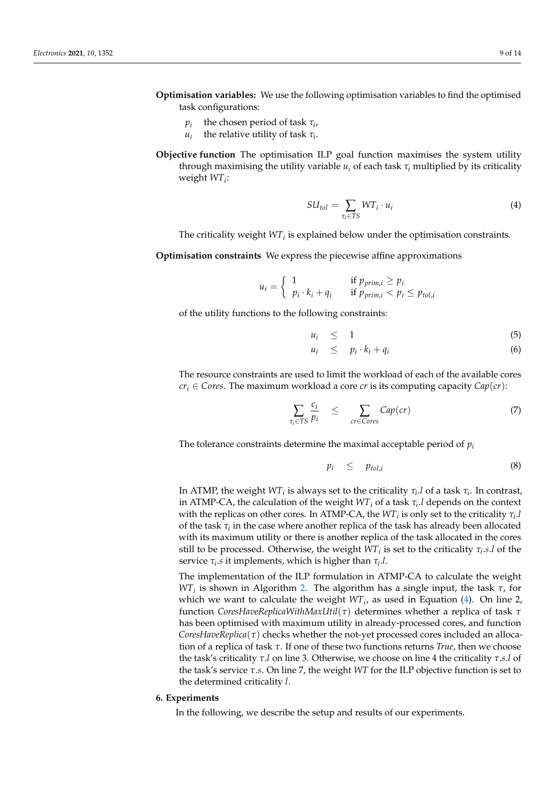- **Optimisation variables:** We use the following optimisation variables to find the optimised task configurations:
	- *pi* the chosen period of task *τ<sup>i</sup>* ,
	- $u_i$ the relative utility of task *τ<sup>i</sup>* .
- **Objective function** The optimisation ILP goal function maximises the system utility through maximising the utility variable  $u_i$  of each task  $\tau_i$  multiplied by its criticality weight *WT<sup>i</sup>* :

<span id="page-8-1"></span>
$$
SU_{tol} = \sum_{\tau_i \in TS} WT_i \cdot u_i \tag{4}
$$

The criticality weight *WT<sup>i</sup>* is explained below under the optimisation constraints.

**Optimisation constraints** We express the piecewise affine approximations

$$
u_i = \begin{cases} 1 & \text{if } p_{prim,i} \ge p_i \\ p_i \cdot k_i + q_i & \text{if } p_{prim,i} < p_i \le p_{tol,i} \end{cases}
$$

of the utility functions to the following constraints:

$$
u_i \leq 1 \tag{5}
$$

$$
u_i \leq p_i \cdot k_i + q_i \tag{6}
$$

The resource constraints are used to limit the workload of each of the available cores *cr*<sup>*i*</sup> ∈ *Cores*. The maximum workload a core *cr* is its computing capacity  $Cap(cr)$ :

$$
\sum_{\tau_i \in TS} \frac{c_i}{p_i} \leq \sum_{cr \in Cores} Cap (cr) \tag{7}
$$

The tolerance constraints determine the maximal acceptable period of *p<sup>i</sup>*

$$
p_i \leq p_{tol,i} \tag{8}
$$

In ATMP, the weight  $WT_i$  is always set to the criticality  $\tau_i.l$  of a task  $\tau_i.$  In contrast, in ATMP-CA, the calculation of the weight *WT<sup>i</sup>* of a task *τ<sup>i</sup>* .*l* depends on the context with the replicas on other cores. In ATMP-CA, the  $WT_i$  is only set to the criticality  $\tau_i$ . of the task *τ<sup>i</sup>* in the case where another replica of the task has already been allocated with its maximum utility or there is another replica of the task allocated in the cores still to be processed. Otherwise, the weight  $WT_i$  is set to the criticality  $\tau_i.s.l$  of the service  $\tau_i$  *s* it implements, which is higher than  $\tau_i$ .l.

The implementation of the ILP formulation in ATMP-CA to calculate the weight *WT<sup>i</sup>* is shown in Algorithm [2.](#page-9-0) The algorithm has a single input, the task *τ*, for which we want to calculate the weight *WT<sup>i</sup>* , as used in Equation [\(4\)](#page-8-1). On line 2, function *CoresHaveReplicaWithMaxUtil*(*τ*) determines whether a replica of task *τ* has been optimised with maximum utility in already-processed cores, and function *CoresHaveReplica*(*τ*) checks whether the not-yet processed cores included an allocation of a replica of task *τ*. If one of these two functions returns *True*, then we choose the task's criticality *τ*.*l* on line 3. Otherwise, we choose on line 4 the criticality *τ*.*s*.*l* of the task's service *τ*.*s*. On line 7, the weight *WT* for the ILP objective function is set to the determined criticality *l*.

# <span id="page-8-0"></span>**6. Experiments**

In the following, we describe the setup and results of our experiments.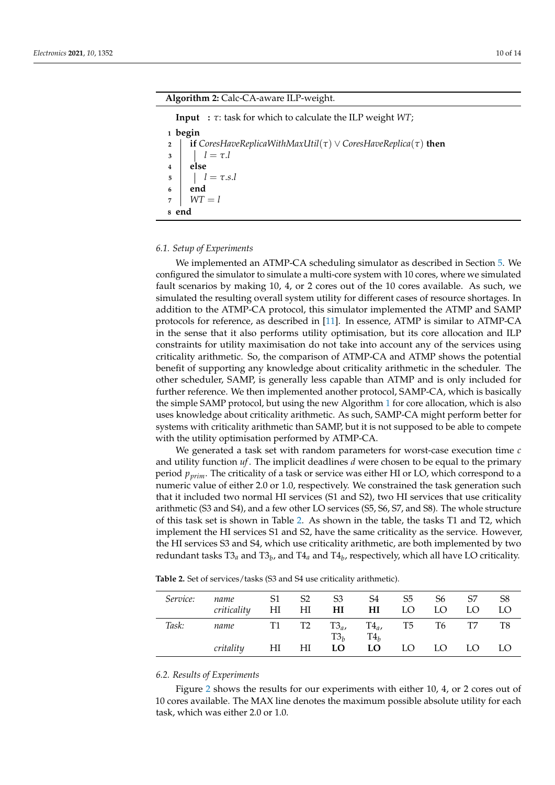#### **Algorithm 2:** Calc-CA-aware ILP-weight.

<span id="page-9-0"></span>**Input :** *τ*: task for which to calculate the ILP weight *WT*;

**1 begin <sup>2</sup> if** *CoresHaveReplicaWithMaxUtil*(*τ*) ∨ *CoresHaveReplica*(*τ*) **then 3**  $l = \tau.l$ **4 else 5**  $l = \tau .s.l$ **6 end**  $7 \mid WT = l$ **8 end**

# *6.1. Setup of Experiments*

We implemented an ATMP-CA scheduling simulator as described in Section [5.](#page-6-0) We configured the simulator to simulate a multi-core system with 10 cores, where we simulated fault scenarios by making 10, 4, or 2 cores out of the 10 cores available. As such, we simulated the resulting overall system utility for different cases of resource shortages. In addition to the ATMP-CA protocol, this simulator implemented the ATMP and SAMP protocols for reference, as described in [\[11\]](#page-13-0). In essence, ATMP is similar to ATMP-CA in the sense that it also performs utility optimisation, but its core allocation and ILP constraints for utility maximisation do not take into account any of the services using criticality arithmetic. So, the comparison of ATMP-CA and ATMP shows the potential benefit of supporting any knowledge about criticality arithmetic in the scheduler. The other scheduler, SAMP, is generally less capable than ATMP and is only included for further reference. We then implemented another protocol, SAMP-CA, which is basically the simple SAMP protocol, but using the new Algorithm [1](#page-7-0) for core allocation, which is also uses knowledge about criticality arithmetic. As such, SAMP-CA might perform better for systems with criticality arithmetic than SAMP, but it is not supposed to be able to compete with the utility optimisation performed by ATMP-CA.

We generated a task set with random parameters for worst-case execution time *c* and utility function *uf*. The implicit deadlines *d* were chosen to be equal to the primary period *pprim*. The criticality of a task or service was either HI or LO, which correspond to a numeric value of either 2.0 or 1.0, respectively. We constrained the task generation such that it included two normal HI services (S1 and S2), two HI services that use criticality arithmetic (S3 and S4), and a few other LO services (S5, S6, S7, and S8). The whole structure of this task set is shown in Table [2.](#page-9-1) As shown in the table, the tasks T1 and T2, which implement the HI services S1 and S2, have the same criticality as the service. However, the HI services S3 and S4, which use criticality arithmetic, are both implemented by two redundant tasks T3*<sup>a</sup>* and T3*<sup>b</sup>* , and T4*<sup>a</sup>* and T4*<sup>b</sup>* , respectively, which all have LO criticality.

| Service: | name<br>criticality | S1<br>HI | S <sub>2</sub><br>$H\!I$ | S <sub>3</sub><br>HI | S4<br>HI           | S <sub>5</sub><br>LO | S6<br>LO | S7<br>LO | S <sub>8</sub><br>LO |
|----------|---------------------|----------|--------------------------|----------------------|--------------------|----------------------|----------|----------|----------------------|
| Task:    | name                |          | T1 T2                    | $T3_a$ ,<br>$T3_h$   | $T4_a$ ,<br>$T4_h$ | T5                   | T6       | T7       | T8                   |
|          | critality           | HI       | НI                       | LO                   | LO                 | LO                   | LO.      | LO.      | LO                   |

<span id="page-9-1"></span>**Table 2.** Set of services/tasks (S3 and S4 use criticality arithmetic).

#### *6.2. Results of Experiments*

Figure [2](#page-10-0) shows the results for our experiments with either 10, 4, or 2 cores out of 10 cores available. The MAX line denotes the maximum possible absolute utility for each task, which was either 2.0 or 1.0.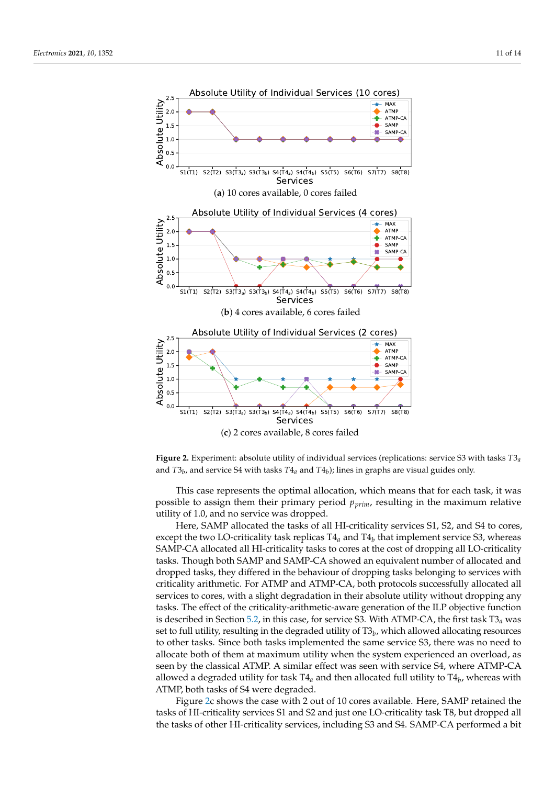<span id="page-10-0"></span>

**Figure 2.** Experiment: absolute utility of individual services (replications: service S3 with tasks *T*3*a* and *T*3*<sup>b</sup>* , and service S4 with tasks *T*4*<sup>a</sup>* and *T*4*<sup>b</sup>* ); lines in graphs are visual guides only.

This case represents the optimal allocation, which means that for each task, it was possible to assign them their primary period *pprim*, resulting in the maximum relative utility of 1.0, and no service was dropped.

Here, SAMP allocated the tasks of all HI-criticality services S1, S2, and S4 to cores, except the two LO-criticality task replicas T4*<sup>a</sup>* and T4*<sup>b</sup>* that implement service S3, whereas SAMP-CA allocated all HI-criticality tasks to cores at the cost of dropping all LO-criticality tasks. Though both SAMP and SAMP-CA showed an equivalent number of allocated and dropped tasks, they differed in the behaviour of dropping tasks belonging to services with criticality arithmetic. For ATMP and ATMP-CA, both protocols successfully allocated all services to cores, with a slight degradation in their absolute utility without dropping any tasks. The effect of the criticality-arithmetic-aware generation of the ILP objective function is described in Section [5.2,](#page-7-1) in this case, for service S3. With ATMP-CA, the first task T3*a* was set to full utility, resulting in the degraded utility of T3*<sup>b</sup>* , which allowed allocating resources to other tasks. Since both tasks implemented the same service S3, there was no need to allocate both of them at maximum utility when the system experienced an overload, as seen by the classical ATMP. A similar effect was seen with service S4, where ATMP-CA allowed a degraded utility for task T4*<sup>a</sup>* and then allocated full utility to T4*<sup>b</sup>* , whereas with ATMP, both tasks of S4 were degraded.

Figure [2c](#page-10-0) shows the case with 2 out of 10 cores available. Here, SAMP retained the tasks of HI-criticality services S1 and S2 and just one LO-criticality task T8, but dropped all the tasks of other HI-criticality services, including S3 and S4. SAMP-CA performed a bit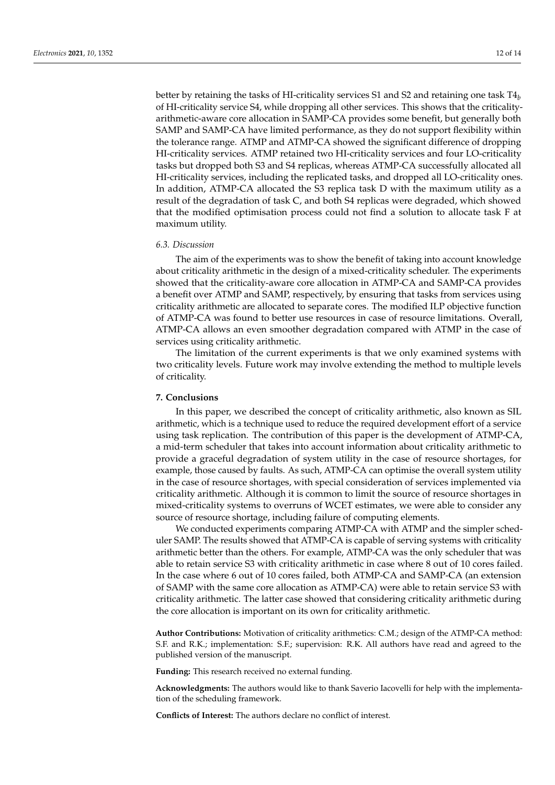better by retaining the tasks of HI-criticality services S1 and S2 and retaining one task T4*<sup>b</sup>* of HI-criticality service S4, while dropping all other services. This shows that the criticalityarithmetic-aware core allocation in SAMP-CA provides some benefit, but generally both SAMP and SAMP-CA have limited performance, as they do not support flexibility within the tolerance range. ATMP and ATMP-CA showed the significant difference of dropping HI-criticality services. ATMP retained two HI-criticality services and four LO-criticality tasks but dropped both S3 and S4 replicas, whereas ATMP-CA successfully allocated all HI-criticality services, including the replicated tasks, and dropped all LO-criticality ones. In addition, ATMP-CA allocated the S3 replica task D with the maximum utility as a result of the degradation of task C, and both S4 replicas were degraded, which showed that the modified optimisation process could not find a solution to allocate task F at maximum utility.

#### *6.3. Discussion*

The aim of the experiments was to show the benefit of taking into account knowledge about criticality arithmetic in the design of a mixed-criticality scheduler. The experiments showed that the criticality-aware core allocation in ATMP-CA and SAMP-CA provides a benefit over ATMP and SAMP, respectively, by ensuring that tasks from services using criticality arithmetic are allocated to separate cores. The modified ILP objective function of ATMP-CA was found to better use resources in case of resource limitations. Overall, ATMP-CA allows an even smoother degradation compared with ATMP in the case of services using criticality arithmetic.

The limitation of the current experiments is that we only examined systems with two criticality levels. Future work may involve extending the method to multiple levels of criticality.

#### <span id="page-11-0"></span>**7. Conclusions**

In this paper, we described the concept of criticality arithmetic, also known as SIL arithmetic, which is a technique used to reduce the required development effort of a service using task replication. The contribution of this paper is the development of ATMP-CA, a mid-term scheduler that takes into account information about criticality arithmetic to provide a graceful degradation of system utility in the case of resource shortages, for example, those caused by faults. As such, ATMP-CA can optimise the overall system utility in the case of resource shortages, with special consideration of services implemented via criticality arithmetic. Although it is common to limit the source of resource shortages in mixed-criticality systems to overruns of WCET estimates, we were able to consider any source of resource shortage, including failure of computing elements.

We conducted experiments comparing ATMP-CA with ATMP and the simpler scheduler SAMP. The results showed that ATMP-CA is capable of serving systems with criticality arithmetic better than the others. For example, ATMP-CA was the only scheduler that was able to retain service S3 with criticality arithmetic in case where 8 out of 10 cores failed. In the case where 6 out of 10 cores failed, both ATMP-CA and SAMP-CA (an extension of SAMP with the same core allocation as ATMP-CA) were able to retain service S3 with criticality arithmetic. The latter case showed that considering criticality arithmetic during the core allocation is important on its own for criticality arithmetic.

**Author Contributions:** Motivation of criticality arithmetics: C.M.; design of the ATMP-CA method: S.F. and R.K.; implementation: S.F.; supervision: R.K. All authors have read and agreed to the published version of the manuscript.

**Funding:** This research received no external funding.

**Acknowledgments:** The authors would like to thank Saverio Iacovelli for help with the implementation of the scheduling framework.

**Conflicts of Interest:** The authors declare no conflict of interest.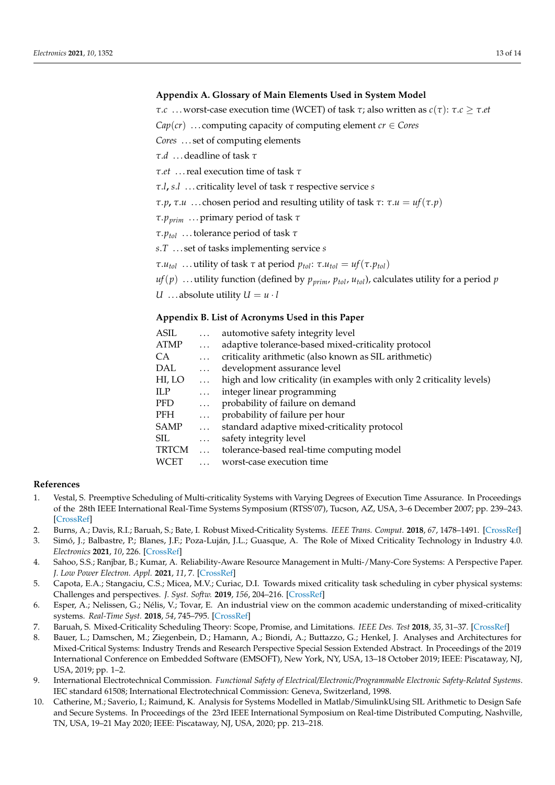# <span id="page-12-5"></span>**Appendix A. Glossary of Main Elements Used in System Model**

*τ*.*c* . . . worst-case execution time (WCET) of task *τ*; also written as *c*(*τ*): *τ*.*c* ≥ *τ*.*et*

 $Cap(cr)$  ... computing capacity of computing element  $cr \in C$ ores

*Cores* . . . set of computing elements

*τ*.*d* . . . deadline of task *τ*

*τ*.*et* . . . real execution time of task *τ*

*τ*.*l***,** *s*.*l* . . . criticality level of task *τ* respective service *s*

*τ*.*p***,** *τ*.*u* ... chosen period and resulting utility of task *τ*: *τ*.*u* = *uf*(*τ*.*p*)

*τ*.*pprim* . . . primary period of task *τ*

*τ*.*ptol* . . . tolerance period of task *τ*

*s*.*T* . . . set of tasks implementing service *s*

*τ*.*u*<sub>*tol</sub>* ... utility of task *τ* at period  $p_{tol}$ : *τ*.*u*<sub>*tol</sub>* = *uf*(*τ*.*p*<sub>*tol</sub>*)</sub></sub></sub>

 $uf(p)$  ... utility function (defined by  $p_{\text{prim}}$ ,  $p_{\text{tol}}$ ,  $u_{\text{tol}}$ ), calculates utility for a period  $p$ *U* ... absolute utility  $U = u \cdot l$ 

# <span id="page-12-6"></span>**Appendix B. List of Acronyms Used in this Paper**

| ASIL         | $\cdots$  | automotive safety integrity level                                     |
|--------------|-----------|-----------------------------------------------------------------------|
| <b>ATMP</b>  | $\ldots$  | adaptive tolerance-based mixed-criticality protocol                   |
| CA.          | $\cdots$  | criticality arithmetic (also known as SIL arithmetic)                 |
| <b>DAL</b>   | $\ldots$  | development assurance level                                           |
| HI, LO       | $\cdot$ . | high and low criticality (in examples with only 2 criticality levels) |
| <b>ILP</b>   | $\ldots$  | integer linear programming                                            |
| <b>PFD</b>   | $\cdots$  | probability of failure on demand                                      |
| <b>PFH</b>   | $\ldots$  | probability of failure per hour                                       |
| <b>SAMP</b>  | $\ldots$  | standard adaptive mixed-criticality protocol                          |
| SIL.         | $\ldots$  | safety integrity level                                                |
| <b>TRTCM</b> | $\cdots$  | tolerance-based real-time computing model                             |
| WCET         |           | worst-case execution time                                             |
|              |           |                                                                       |

# **References**

- <span id="page-12-0"></span>1. Vestal, S. Preemptive Scheduling of Multi-criticality Systems with Varying Degrees of Execution Time Assurance. In Proceedings of the 28th IEEE International Real-Time Systems Symposium (RTSS'07), Tucson, AZ, USA, 3–6 December 2007; pp. 239–243. [\[CrossRef\]](http://doi.org/10.1109/RTSS.2007.47)
- <span id="page-12-1"></span>2. Burns, A.; Davis, R.I.; Baruah, S.; Bate, I. Robust Mixed-Criticality Systems. *IEEE Trans. Comput.* **2018**, *67*, 1478–1491. [\[CrossRef\]](http://dx.doi.org/10.1109/TC.2018.2831227)
- 3. Simó, J.; Balbastre, P.; Blanes, J.F.; Poza-Luján, J.L.; Guasque, A. The Role of Mixed Criticality Technology in Industry 4.0. *Electronics* **2021**, *10*, 226. [\[CrossRef\]](http://dx.doi.org/10.3390/electronics10030226)
- 4. Sahoo, S.S.; Ranjbar, B.; Kumar, A. Reliability-Aware Resource Management in Multi-/Many-Core Systems: A Perspective Paper. *J. Low Power Electron. Appl.* **2021**, *11*, 7. [\[CrossRef\]](http://dx.doi.org/10.3390/jlpea11010007)
- 5. Capota, E.A.; Stangaciu, C.S.; Micea, M.V.; Curiac, D.I. Towards mixed criticality task scheduling in cyber physical systems: Challenges and perspectives. *J. Syst. Softw.* **2019**, *156*, 204–216. [\[CrossRef\]](http://dx.doi.org/10.1016/j.jss.2019.06.099)
- 6. Esper, A.; Nelissen, G.; Nélis, V.; Tovar, E. An industrial view on the common academic understanding of mixed-criticality systems. *Real-Time Syst.* **2018**, *54*, 745–795. [\[CrossRef\]](http://dx.doi.org/10.1007/s11241-018-9308-9)
- 7. Baruah, S. Mixed-Criticality Scheduling Theory: Scope, Promise, and Limitations. *IEEE Des. Test* **2018**, *35*, 31–37. [\[CrossRef\]](http://dx.doi.org/10.1109/MDAT.2017.2766571)
- <span id="page-12-2"></span>8. Bauer, L.; Damschen, M.; Ziegenbein, D.; Hamann, A.; Biondi, A.; Buttazzo, G.; Henkel, J. Analyses and Architectures for Mixed-Critical Systems: Industry Trends and Research Perspective Special Session Extended Abstract. In Proceedings of the 2019 International Conference on Embedded Software (EMSOFT), New York, NY, USA, 13–18 October 2019; IEEE: Piscataway, NJ, USA, 2019; pp. 1–2.
- <span id="page-12-3"></span>9. International Electrotechnical Commission. *Functional Safety of Electrical/Electronic/Programmable Electronic Safety-Related Systems*. IEC standard 61508; International Electrotechnical Commission: Geneva, Switzerland, 1998.
- <span id="page-12-4"></span>10. Catherine, M.; Saverio, I.; Raimund, K. Analysis for Systems Modelled in Matlab/SimulinkUsing SIL Arithmetic to Design Safe and Secure Systems. In Proceedings of the 23rd IEEE International Symposium on Real-time Distributed Computing, Nashville, TN, USA, 19–21 May 2020; IEEE: Piscataway, NJ, USA, 2020; pp. 213–218.